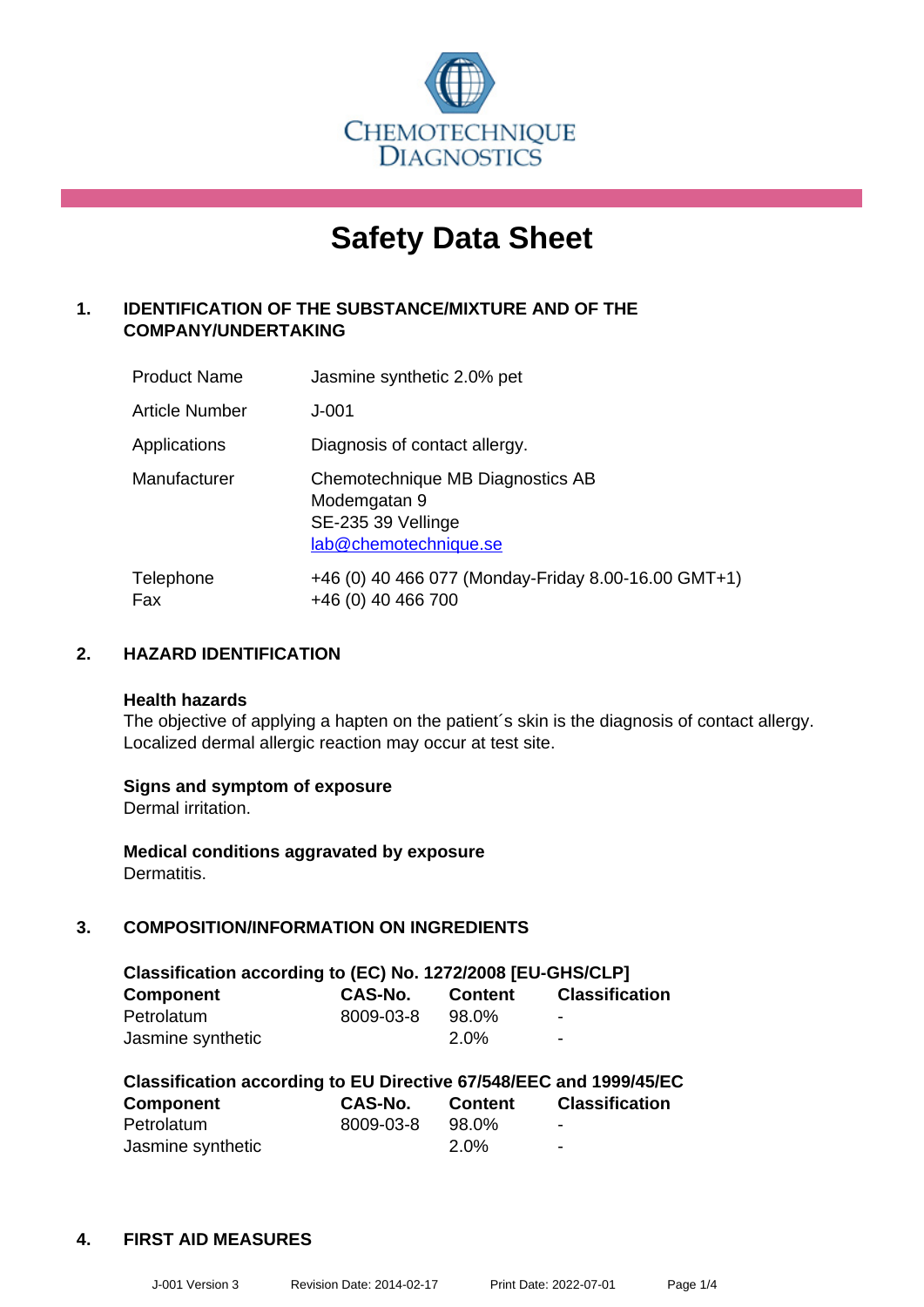

# **Safety Data Sheet**

# **1. IDENTIFICATION OF THE SUBSTANCE/MIXTURE AND OF THE COMPANY/UNDERTAKING**

| <b>Product Name</b> | Jasmine synthetic 2.0% pet                                                                      |
|---------------------|-------------------------------------------------------------------------------------------------|
| Article Number      | $J - 001$                                                                                       |
| Applications        | Diagnosis of contact allergy.                                                                   |
| Manufacturer        | Chemotechnique MB Diagnostics AB<br>Modemgatan 9<br>SE-235 39 Vellinge<br>lab@chemotechnique.se |
| Telephone<br>Fax    | +46 (0) 40 466 077 (Monday-Friday 8.00-16.00 GMT+1)<br>+46 (0) 40 466 700                       |

#### **2. HAZARD IDENTIFICATION**

#### **Health hazards**

The objective of applying a hapten on the patient's skin is the diagnosis of contact allergy. Localized dermal allergic reaction may occur at test site.

#### **Signs and symptom of exposure**

Dermal irritation.

**Medical conditions aggravated by exposure** Dermatitis.

# **3. COMPOSITION/INFORMATION ON INGREDIENTS**

| Classification according to (EC) No. 1272/2008 [EU-GHS/CLP] |           |                |                          |  |
|-------------------------------------------------------------|-----------|----------------|--------------------------|--|
| <b>Component</b>                                            | CAS-No.   | <b>Content</b> | <b>Classification</b>    |  |
| Petrolatum                                                  | 8009-03-8 | 98.0%          | $\overline{\phantom{a}}$ |  |
| Jasmine synthetic                                           |           | 2.0%           | $\blacksquare$           |  |

| Classification according to EU Directive 67/548/EEC and 1999/45/EC |           |                |                       |  |  |
|--------------------------------------------------------------------|-----------|----------------|-----------------------|--|--|
| <b>Component</b>                                                   | CAS-No.   | <b>Content</b> | <b>Classification</b> |  |  |
| Petrolatum                                                         | 8009-03-8 | 98.0%          | ٠                     |  |  |
| Jasmine synthetic                                                  |           | 2.0%           | $\blacksquare$        |  |  |

#### **4. FIRST AID MEASURES**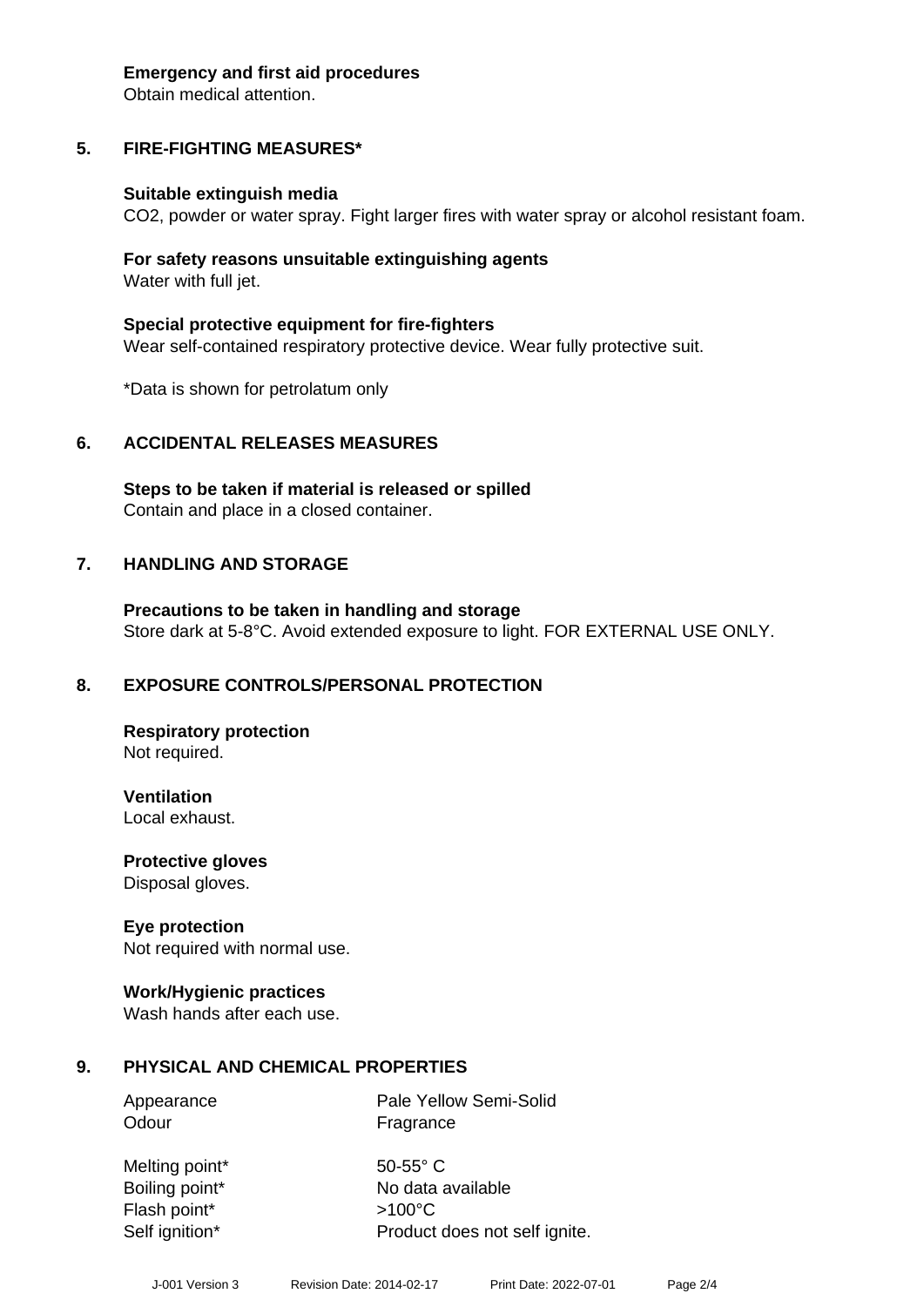#### **Emergency and first aid procedures**

Obtain medical attention.

## **5. FIRE-FIGHTING MEASURES\***

#### **Suitable extinguish media**

CO2, powder or water spray. Fight larger fires with water spray or alcohol resistant foam.

#### **For safety reasons unsuitable extinguishing agents** Water with full jet.

**Special protective equipment for fire-fighters** Wear self-contained respiratory protective device. Wear fully protective suit.

\*Data is shown for petrolatum only

#### **6. ACCIDENTAL RELEASES MEASURES**

**Steps to be taken if material is released or spilled** Contain and place in a closed container.

#### **7. HANDLING AND STORAGE**

**Precautions to be taken in handling and storage** Store dark at 5-8°C. Avoid extended exposure to light. FOR EXTERNAL USE ONLY.

#### **8. EXPOSURE CONTROLS/PERSONAL PROTECTION**

**Respiratory protection** Not required.

**Ventilation**

Local exhaust.

**Protective gloves** Disposal gloves.

#### **Eye protection**

Not required with normal use.

#### **Work/Hygienic practices**

Wash hands after each use.

#### **9. PHYSICAL AND CHEMICAL PROPERTIES**

Odour **Fragrance** 

Appearance Pale Yellow Semi-Solid

Melting point\* 50-55° C Flash point\* >100°C Self ignition\* Product does not self ignite.

Boiling point\* No data available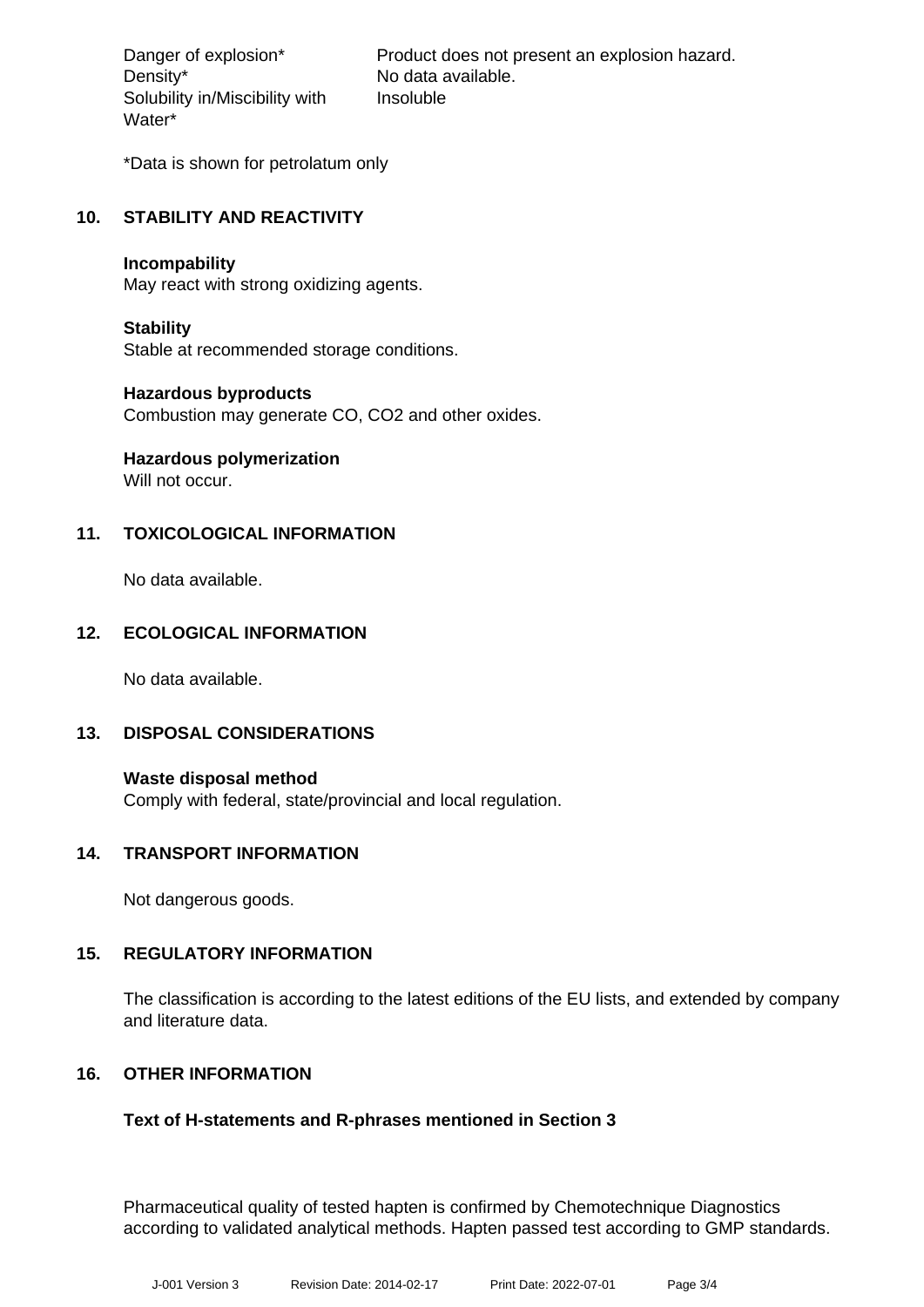Density\* No data available. Solubility in/Miscibility with Water\*

Danger of explosion\* Product does not present an explosion hazard. Insoluble

\*Data is shown for petrolatum only

## **10. STABILITY AND REACTIVITY**

#### **Incompability**

May react with strong oxidizing agents.

#### **Stability**

Stable at recommended storage conditions.

#### **Hazardous byproducts**

Combustion may generate CO, CO2 and other oxides.

# **Hazardous polymerization**

Will not occur.

# **11. TOXICOLOGICAL INFORMATION**

No data available.

#### **12. ECOLOGICAL INFORMATION**

No data available.

#### **13. DISPOSAL CONSIDERATIONS**

**Waste disposal method** Comply with federal, state/provincial and local regulation.

#### **14. TRANSPORT INFORMATION**

Not dangerous goods.

#### **15. REGULATORY INFORMATION**

The classification is according to the latest editions of the EU lists, and extended by company and literature data.

#### **16. OTHER INFORMATION**

#### **Text of H-statements and R-phrases mentioned in Section 3**

Pharmaceutical quality of tested hapten is confirmed by Chemotechnique Diagnostics according to validated analytical methods. Hapten passed test according to GMP standards.